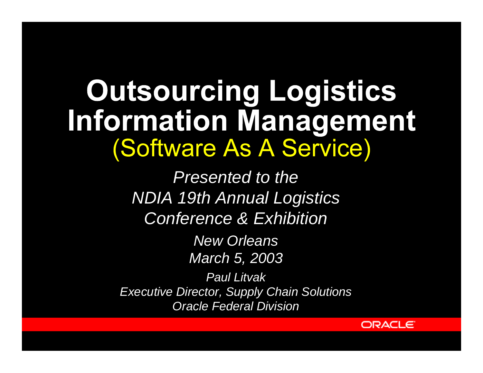# **Outsourcing Logistics Information Management** *(Software As A Service)*

*Presented to the NDIA 19th Annual Logistics Conference & Exhibition*

> *New Orleans March 5, 2003*

*Paul Litvak Executive Director, Supply Chain Solutions Oracle Federal Division*

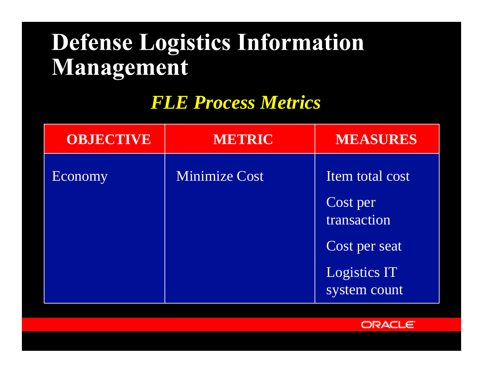#### **Defense Logistics Information** Management

#### *FLE Process Metrics*

| <b>OBJECTIVE</b> | <b>METRIC</b>        | <b>MEASURES</b>                     |
|------------------|----------------------|-------------------------------------|
| Economy          | <b>Minimize Cost</b> | Item total cost                     |
|                  |                      | Cost per<br>transaction             |
|                  |                      | Cost per seat                       |
|                  |                      | <b>Logistics IT</b><br>system count |

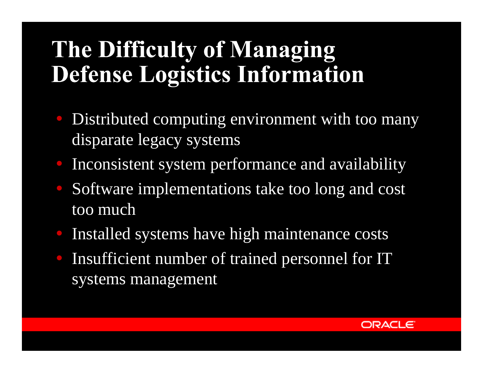### The Difficulty of Managing **Defense Logistics Information**

- **Distributed computing environment with too many** disparate legacy systems
- Inconsistent system performance and availability
- ü Software implementations take too long and cost too much
- Installed systems have high maintenance costs
- Insufficient number of trained personnel for IT systems management

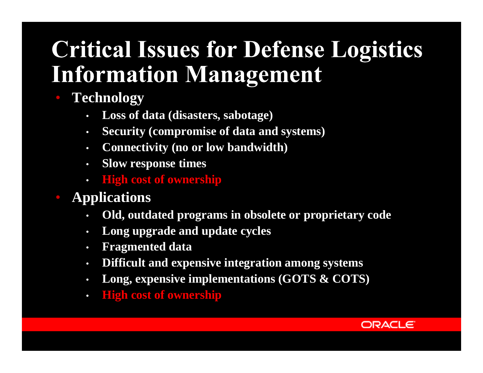## **Critical Issues for Defense Logistics Information Management**

- **Technology**
	- **Loss of data (disasters, sabotage)**
	- **Security (compromise of data and systems)**
	- **Connectivity (no or low bandwidth)**
	- **Slow response times**
	- **High cost of ownership**
- **Applications**
	- **Old, outdated programs in obsolete or proprietary code**
	- **Long upgrade and update cycles**
	- **Fragmented data**
	- **Difficult and expensive integration among systems**
	- **Long, expensive implementations (GOTS & COTS)**
	- **High cost of ownership**

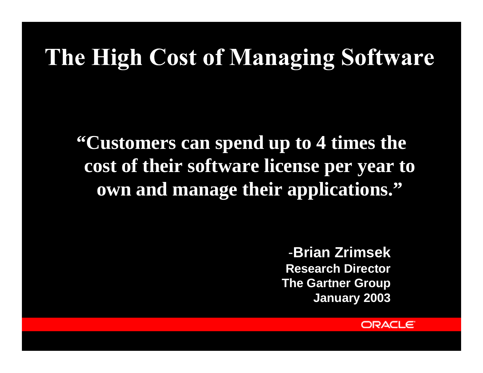## The High Cost of Managing Software

**"Customers can spend up to 4 times the cost of their software license per year to own and manage their applications."**

> -**Brian Zrimsek Research Director The Gartner Group January 2003**

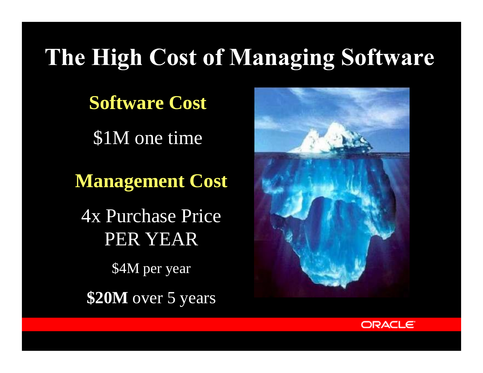# The High Cost of Managing Software

**Software Cost**

\$1M one time

**Management Cost**

4x Purchase Price PER YEAR

\$4M per year

**\$20M** over 5 years



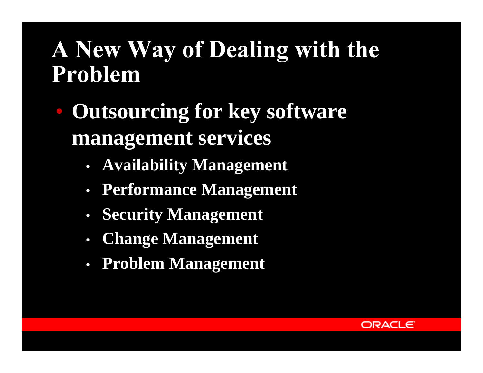#### A New Way of Dealing with the Problem

- **Outsourcing for key software management services**
	- **Availability Management**
	- **Performance Management**
	- **Security Management**
	- **Change Management**
	- **Problem Management**

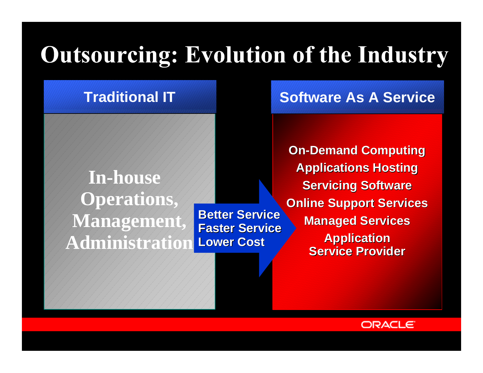# **Outsourcing: Evolution of the Industry**

#### **Traditional IT**

**In-house Operations, Managemen Administration**

**Better Service Faster Service Lower Cost**

**Software As A Service**

**On-Demand Computing Applications Hosting Servicing Software Online Support Services Managed Services Application Service Provider**

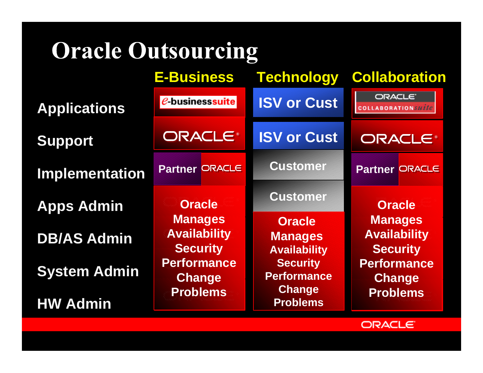# **Oracle Outsourcing**

|                       | <b>E-Business</b>                                                                                                                   |  | Technology                                             |                                                                                                                                     | Collaboration         |  |
|-----------------------|-------------------------------------------------------------------------------------------------------------------------------------|--|--------------------------------------------------------|-------------------------------------------------------------------------------------------------------------------------------------|-----------------------|--|
| <b>Applications</b>   | $e$ -businesssuite<br>ORACLE®                                                                                                       |  | <b>ISV or Cust</b>                                     | ORACLE <sup>®</sup><br><b>COLLABORATION</b> suite                                                                                   |                       |  |
| <b>Support</b>        |                                                                                                                                     |  | <b>ISV or Cust</b>                                     | ORACLE®                                                                                                                             |                       |  |
| <b>Implementation</b> | <b>Partner ORACLE</b>                                                                                                               |  | <b>Customer</b>                                        |                                                                                                                                     | <b>Partner ORACLE</b> |  |
| <b>Apps Admin</b>     | <b>Oracle</b><br><b>Manages</b><br><b>Availability</b><br><b>Security</b><br><b>Performance</b><br><b>Change</b><br><b>Problems</b> |  | <b>Customer</b>                                        | <b>Oracle</b><br><b>Manages</b><br><b>Availability</b><br><b>Security</b><br><b>Performance</b><br><b>Change</b><br><b>Problems</b> |                       |  |
| <b>DB/AS Admin</b>    |                                                                                                                                     |  | <b>Oracle</b><br><b>Manages</b><br><b>Availability</b> |                                                                                                                                     |                       |  |
| <b>System Admin</b>   |                                                                                                                                     |  | <b>Security</b><br><b>Performance</b>                  |                                                                                                                                     |                       |  |
| <b>HW Admin</b>       |                                                                                                                                     |  | <b>Change</b><br><b>Problems</b>                       |                                                                                                                                     |                       |  |

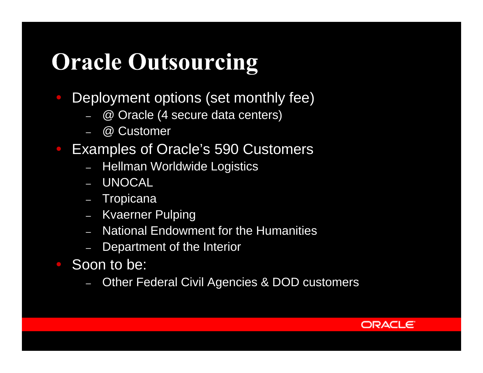## **Oracle Outsourcing**

- Deployment options (set monthly fee)
	- @ Oracle (4 secure data centers)
	- @ Customer
- ü Examples of Oracle's 590 Customers
	- Hellman Worldwide Logistics
	- UNOCAL
	- Tropicana
	- Kvaerner Pulping
	- National Endowment for the Humanities
	- Department of the Interior
- ü Soon to be:
	- Other Federal Civil Agencies & DOD customers

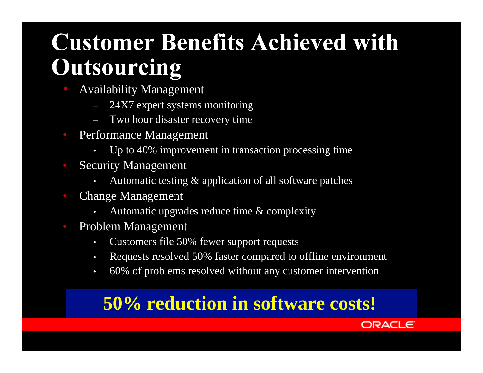#### **Customer Benefits Achieved with** Outsourcing

- ü Availability Management
	- 24X7 expert systems monitoring
	- Two hour disaster recovery time
- Performance Management
	- Up to 40% improvement in transaction processing time
- Security Management
	- Automatic testing & application of all software patches
- Change Management
	- Automatic upgrades reduce time & complexity
- Problem Management
	- Customers file 50% fewer support requests
	- Requests resolved 50% faster compared to offline environment
	- 60% of problems resolved without any customer intervention

#### **50% reduction in software costs!**